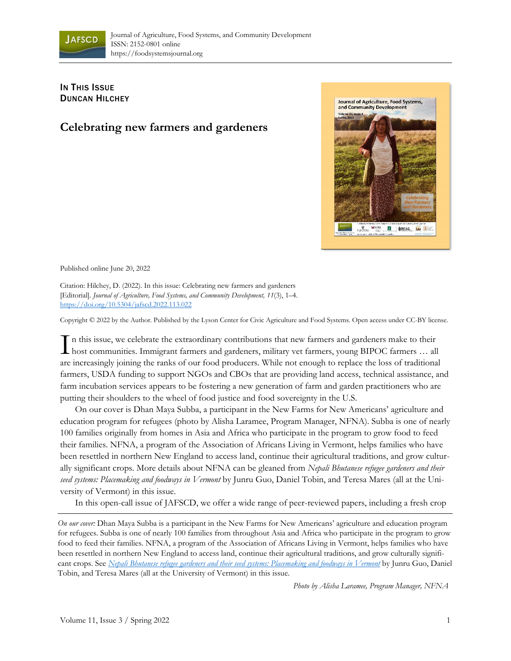

## **IN THIS ISSUE** DUNCAN HILCHEY

## **Celebrating new farmers and gardeners**



Published online June 20, 2022

Citation: Hilchey, D. (2022). In this issue: Celebrating new farmers and gardeners [Editorial]. *Journal of Agriculture, Food Systems, and Community Development, 11*(3), 1–4. <https://doi.org/10.5304/jafscd.2022.113.022>

Copyright © 2022 by the Author. Published by the Lyson Center for Civic Agriculture and Food Systems. Open access under CC-BY license.

n this issue, we celebrate the extraordinary contributions that new farmers and gardeners make to their In this issue, we celebrate the extraordinary contributions that new farmers and gardeners make to their host communities. Immigrant farmers and gardeners, military vet farmers, young BIPOC farmers ... all are increasingly joining the ranks of our food producers. While not enough to replace the loss of traditional farmers, USDA funding to support NGOs and CBOs that are providing land access, technical assistance, and farm incubation services appears to be fostering a new generation of farm and garden practitioners who are putting their shoulders to the wheel of food justice and food sovereignty in the U.S.

On our cover is Dhan Maya Subba, a participant in the New Farms for New Americans' agriculture and education program for refugees (photo by Alisha Laramee, Program Manager, NFNA). Subba is one of nearly 100 families originally from homes in Asia and Africa who participate in the program to grow food to feed their families. NFNA, a program of the Association of Africans Living in Vermont, helps families who have been resettled in northern New England to access land, continue their agricultural traditions, and grow culturally significant crops. More details about NFNA can be gleaned from *Nepali Bhutanese refugee gardeners and their seed systems: Placemaking and foodways in Vermont* by Junru Guo, Daniel Tobin, and Teresa Mares (all at the University of Vermont) in this issue.

In this open-call issue of JAFSCD, we offer a wide range of peer-reviewed papers, including a fresh crop

*On our cover:* Dhan Maya Subba is a participant in the New Farms for New Americans' agriculture and education program for refugees. Subba is one of nearly 100 families from throughout Asia and Africa who participate in the program to grow food to feed their families. NFNA, a program of the Association of Africans Living in Vermont, helps families who have been resettled in northern New England to access land, continue their agricultural traditions, and grow culturally significant crops. See *[Nepali Bhutanese refugee gardeners and their seed systems: Placemaking and foodways in Vermont](https://doi.org/10.5304/jafscd.2022.113.005)* by Junru Guo, Daniel Tobin, and Teresa Mares (all at the University of Vermont) in this issue.

*Photo by Alisha Laramee, Program Manager, NFNA*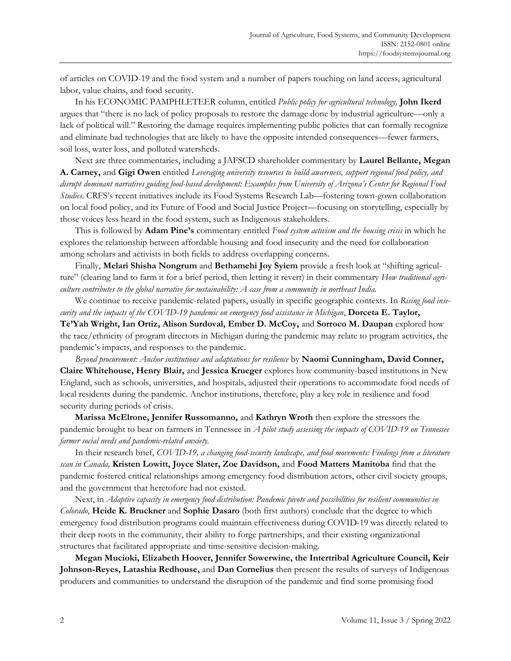of articles on COVID-19 and the food system and a number of papers touching on land access, agricultural labor, value chains, and food security.

In his ECONOMIC PAMPHLETEER column, entitled *Public policy for agricultural technology,* **John Ikerd** argues that "there is no lack of policy proposals to restore the damage done by industrial agriculture—only a lack of political will." Restoring the damage requires implementing public policies that can formally recognize and eliminate bad technologies that are likely to have the opposite intended consequences—fewer farmers, soil loss, water loss, and polluted watersheds.

Next are three commentaries, including a JAFSCD shareholder commentary by **Laurel Bellante, Megan A. Carney,** and **Gigi Owen** entitled *Leveraging university resources to build awareness, support regional food policy, and disrupt dominant narratives guiding food-based development: Examples from University of Arizona's Center for Regional Food Studies*. CRFS's recent initiatives include its Food Systems Research Lab—fostering town-gown collaboration on local food policy, and its Future of Food and Social Justice Project—focusing on storytelling, especially by those voices less heard in the food system, such as Indigenous stakeholders.

This is followed by **Adam Pine's** commentary entitled *Food system activism and the housing crisis* in which he explores the relationship between affordable housing and food insecurity and the need for collaboration among scholars and activists in both fields to address overlapping concerns.

Finally, **Melari Shisha Nongrum** and **Bethamehi Joy Syiem** provide a fresh look at "shifting agriculture" (clearing land to farm it for a brief period, then letting it revert) in their commentary *How traditional agriculture contributes to the global narrative for sustainability: A case from a community in northeast India.*

We continue to receive pandemic-related papers, usually in specific geographic contexts. In *Rising food insecurity and the impacts of the COVID-19 pandemic on emergency food assistance in Michigan*, **Dorceta E. Taylor,** 

**Te'Yah Wright, Ian Ortiz, Alison Surdoval, Ember D. McCoy,** and **Sorroco M. Daupan** explored how the race/ethnicity of program directors in Michigan during the pandemic may relate to program activities, the pandemic's impacts, and responses to the pandemic.

*Beyond procurement: Anchor institutions and adaptations for resilience* by **Naomi Cunningham, David Conner, Claire Whitehouse, Henry Blair,** and **Jessica Krueger** explores how community-based institutions in New England, such as schools, universities, and hospitals, adjusted their operations to accommodate food needs of local residents during the pandemic. Anchor institutions, therefore, play a key role in resilience and food security during periods of crisis.

**Marissa McElrone, Jennifer Russomanno,** and **Kathryn Wroth** then explore the stressors the pandemic brought to bear on farmers in Tennessee in *A pilot study assessing the impacts of COVID-19 on Tennessee farmer social needs and pandemic-related anxiety.*

In their research brief, *COVID-19, a changing food-security landscape, and food movements: Findings from a literature scan in Canada,* **Kristen Lowitt, Joyce Slater, Zoe Davidson,** and **Food Matters Manitoba** find that the pandemic fostered critical relationships among emergency food distribution actors, other civil society groups, and the government that heretofore had not existed.

Next, in *Adaptive capacity in emergency food distribution: Pandemic pivots and possibilities for resilient communities in Colorado*, **Heide K. Bruckner** and **Sophie Dasaro** (both first authors) conclude that the degree to which emergency food distribution programs could maintain effectiveness during COVID-19 was directly related to their deep roots in the community, their ability to forge partnerships, and their existing organizational structures that facilitated appropriate and time-sensitive decision-making.

**Megan Mucioki, Elizabeth Hoover, Jennifer Sowerwine, the Intertribal Agriculture Council, Keir Johnson-Reyes, Latashia Redhouse,** and **Dan Cornelius** then present the results of surveys of Indigenous producers and communities to understand the disruption of the pandemic and find some promising food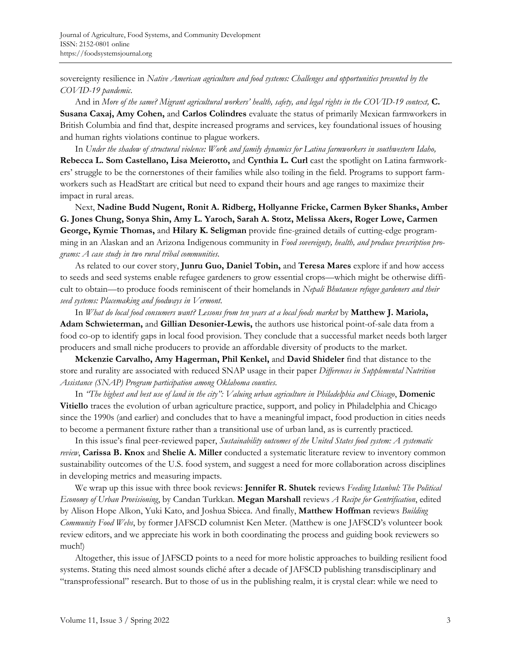sovereignty resilience in *Native American agriculture and food systems: Challenges and opportunities presented by the COVID-19 pandemic*.

And in *More of the same? Migrant agricultural workers' health, safety, and legal rights in the COVID-19 context,* **C. Susana Caxaj, Amy Cohen,** and **Carlos Colindres** evaluate the status of primarily Mexican farmworkers in British Columbia and find that, despite increased programs and services, key foundational issues of housing and human rights violations continue to plague workers.

In *Under the shadow of structural violence: Work and family dynamics for Latina farmworkers in southwestern Idaho,*  **Rebecca L. Som Castellano, Lisa Meierotto,** and **Cynthia L. Curl** cast the spotlight on Latina farmworkers' struggle to be the cornerstones of their families while also toiling in the field. Programs to support farmworkers such as HeadStart are critical but need to expand their hours and age ranges to maximize their impact in rural areas.

Next, **Nadine Budd Nugent, Ronit A. Ridberg, Hollyanne Fricke, Carmen Byker Shanks, Amber G. Jones Chung, Sonya Shin, Amy L. Yaroch, Sarah A. Stotz, Melissa Akers, Roger Lowe, Carmen George, Kymie Thomas,** and **Hilary K. Seligman** provide fine-grained details of cutting-edge programming in an Alaskan and an Arizona Indigenous community in *Food sovereignty, health, and produce prescription programs: A case study in two rural tribal communities.*

As related to our cover story, **Junru Guo, Daniel Tobin,** and **Teresa Mares** explore if and how access to seeds and seed systems enable refugee gardeners to grow essential crops—which might be otherwise difficult to obtain—to produce foods reminiscent of their homelands in *Nepali Bhutanese refugee gardeners and their seed systems: Placemaking and foodways in Vermont.*

In *What do local food consumers want? Lessons from ten years at a local foods market* by **Matthew J. Mariola, Adam Schwieterman,** and **Gillian Desonier-Lewis,** the authors use historical point-of-sale data from a food co-op to identify gaps in local food provision. They conclude that a successful market needs both larger producers and small niche producers to provide an affordable diversity of products to the market.

**Mckenzie Carvalho, Amy Hagerman, Phil Kenkel,** and **David Shideler** find that distance to the store and rurality are associated with reduced SNAP usage in their paper *Differences in Supplemental Nutrition Assistance (SNAP) Program participation among Oklahoma counties.*

In *"The highest and best use of land in the city": Valuing urban agriculture in Philadelphia and Chicago*, **Domenic Vitiello** traces the evolution of urban agriculture practice, support, and policy in Philadelphia and Chicago since the 1990s (and earlier) and concludes that to have a meaningful impact, food production in cities needs to become a permanent fixture rather than a transitional use of urban land, as is currently practiced.

In this issue's final peer-reviewed paper, *Sustainability outcomes of the United States food system: A systematic review*, **Carissa B. Knox** and **Shelie A. Miller** conducted a systematic literature review to inventory common sustainability outcomes of the U.S. food system, and suggest a need for more collaboration across disciplines in developing metrics and measuring impacts.

We wrap up this issue with three book reviews: **Jennifer R. Shutek** reviews *Feeding Istanbul: The Political Economy of Urban Provisioning*, by Candan Turkkan. **Megan Marshall** reviews *A Recipe for Gentrification*, edited by Alison Hope Alkon, Yuki Kato, and Joshua Sbicca. And finally, **Matthew Hoffman** reviews *Building Community Food Webs*, by former JAFSCD columnist Ken Meter. (Matthew is one JAFSCD's volunteer book review editors, and we appreciate his work in both coordinating the process and guiding book reviewers so much!)

Altogether, this issue of JAFSCD points to a need for more holistic approaches to building resilient food systems. Stating this need almost sounds cliché after a decade of JAFSCD publishing transdisciplinary and "transprofessional" research. But to those of us in the publishing realm, it is crystal clear: while we need to